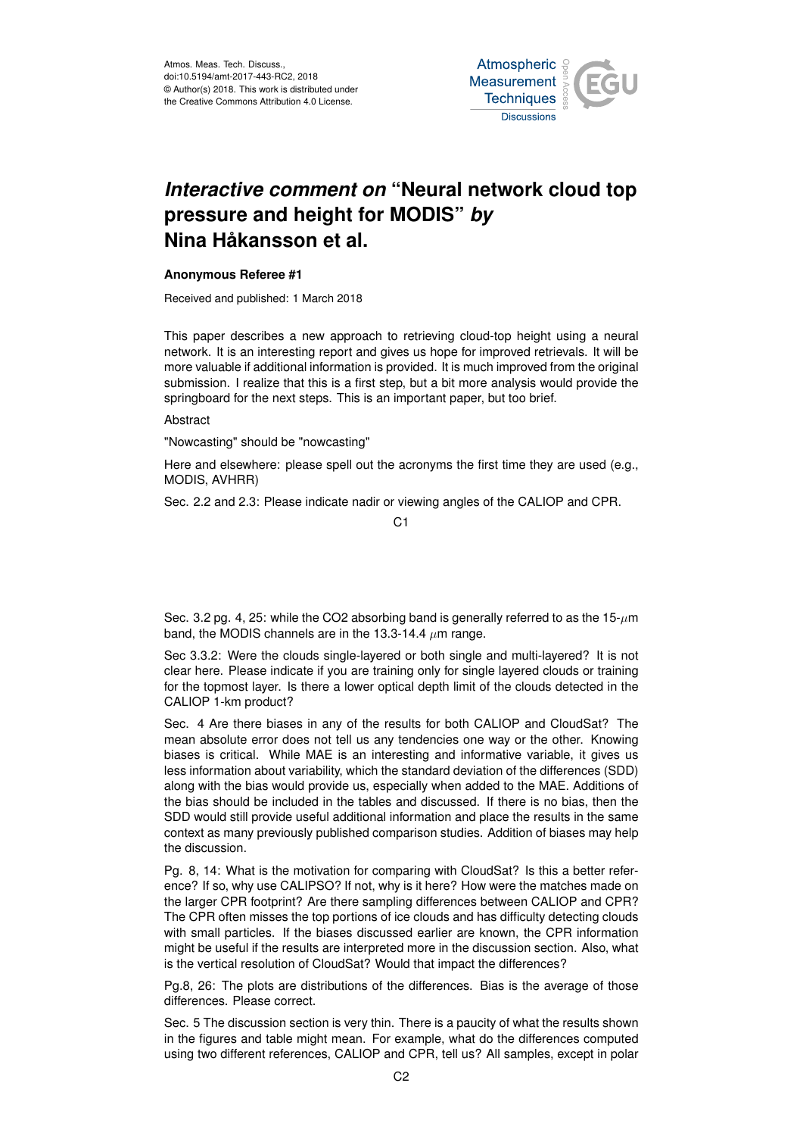

## *Interactive comment on* **"Neural network cloud top pressure and height for MODIS"** *by* **Nina Håkansson et al.**

## **Anonymous Referee #1**

Received and published: 1 March 2018

This paper describes a new approach to retrieving cloud-top height using a neural network. It is an interesting report and gives us hope for improved retrievals. It will be more valuable if additional information is provided. It is much improved from the original submission. I realize that this is a first step, but a bit more analysis would provide the springboard for the next steps. This is an important paper, but too brief.

## Abstract

"Nowcasting" should be "nowcasting"

Here and elsewhere: please spell out the acronyms the first time they are used (e.g., MODIS, AVHRR)

Sec. 2.2 and 2.3: Please indicate nadir or viewing angles of the CALIOP and CPR.

C1

Sec. 3.2 pg. 4, 25: while the CO2 absorbing band is generally referred to as the  $15-\mu m$ band, the MODIS channels are in the 13.3-14.4  $\mu$ m range.

Sec 3.3.2: Were the clouds single-layered or both single and multi-layered? It is not clear here. Please indicate if you are training only for single layered clouds or training for the topmost layer. Is there a lower optical depth limit of the clouds detected in the CALIOP 1-km product?

Sec. 4 Are there biases in any of the results for both CALIOP and CloudSat? The mean absolute error does not tell us any tendencies one way or the other. Knowing biases is critical. While MAE is an interesting and informative variable, it gives us less information about variability, which the standard deviation of the differences (SDD) along with the bias would provide us, especially when added to the MAE. Additions of the bias should be included in the tables and discussed. If there is no bias, then the SDD would still provide useful additional information and place the results in the same context as many previously published comparison studies. Addition of biases may help the discussion.

Pg. 8, 14: What is the motivation for comparing with CloudSat? Is this a better reference? If so, why use CALIPSO? If not, why is it here? How were the matches made on the larger CPR footprint? Are there sampling differences between CALIOP and CPR? The CPR often misses the top portions of ice clouds and has difficulty detecting clouds with small particles. If the biases discussed earlier are known, the CPR information might be useful if the results are interpreted more in the discussion section. Also, what is the vertical resolution of CloudSat? Would that impact the differences?

Pg.8, 26: The plots are distributions of the differences. Bias is the average of those differences. Please correct.

Sec. 5 The discussion section is very thin. There is a paucity of what the results shown in the figures and table might mean. For example, what do the differences computed using two different references, CALIOP and CPR, tell us? All samples, except in polar